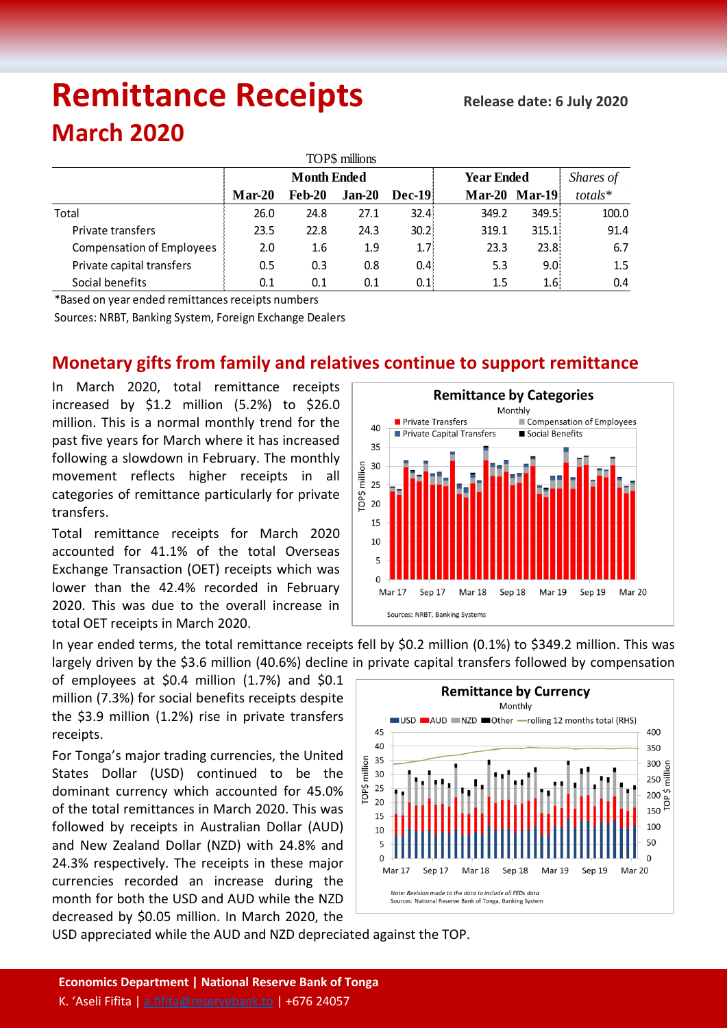# **Remittance Receipts** *Remittance* **Receipts**

## **March 2020**

| TOP\$ millions                   |                    |               |          |               |                   |                      |         |  |  |  |  |
|----------------------------------|--------------------|---------------|----------|---------------|-------------------|----------------------|---------|--|--|--|--|
|                                  | <b>Month Ended</b> |               |          |               | <b>Year Ended</b> | Shares of            |         |  |  |  |  |
|                                  | $Mar-20$           | <b>Feb-20</b> | $Jan-20$ | <b>Dec-19</b> |                   | <b>Mar-20 Mar-19</b> | totals* |  |  |  |  |
| Total                            | 26.0               | 24.8          | 27.1     | 32.4%         | 349.2             | 349.5                | 100.0   |  |  |  |  |
| Private transfers                | 23.5               | 22.8          | 24.3     | 30.2          | 319.1             | 315.1                | 91.4    |  |  |  |  |
| <b>Compensation of Employees</b> | 2.0                | 1.6           | 1.9      | 1.7%          | 23.3              | 23.8 <sup>1</sup>    | 6.7     |  |  |  |  |
| Private capital transfers        | 0.5                | 0.3           | 0.8      | 0.4           | 5.3               | 9.0 <sub>1</sub>     | 1.5     |  |  |  |  |
| Social benefits                  | 0.1                | 0.1           | 0.1      | 0.1           | $1.5\,$           | 1.6:                 | 0.4     |  |  |  |  |

\*Based on year ended remittances receipts numbers

Sources: NRBT, Banking System, Foreign Exchange Dealers

### **Monetary gifts from family and relatives continue to support remittance**

In March 2020, total remittance receipts increased by \$1.2 million (5.2%) to \$26.0 million. This is a normal monthly trend for the past five years for March where it has increased following a slowdown in February. The monthly movement reflects higher receipts in all categories of remittance particularly for private transfers.

Total remittance receipts for March 2020 accounted for 41.1% of the total Overseas Exchange Transaction (OET) receipts which was lower than the 42.4% recorded in February 2020. This was due to the overall increase in total OET receipts in March 2020.



In year ended terms, the total remittance receipts fell by \$0.2 million (0.1%) to \$349.2 million. This was largely driven by the \$3.6 million (40.6%) decline in private capital transfers followed by compensation

of employees at \$0.4 million (1.7%) and \$0.1 million (7.3%) for social benefits receipts despite the \$3.9 million (1.2%) rise in private transfers receipts.

For Tonga's major trading currencies, the United States Dollar (USD) continued to be the dominant currency which accounted for 45.0% of the total remittances in March 2020. This was followed by receipts in Australian Dollar (AUD) and New Zealand Dollar (NZD) with 24.8% and 24.3% respectively. The receipts in these major currencies recorded an increase during the month for both the USD and AUD while the NZD decreased by \$0.05 million. In March 2020, the



USD appreciated while the AUD and NZD depreciated against the TOP.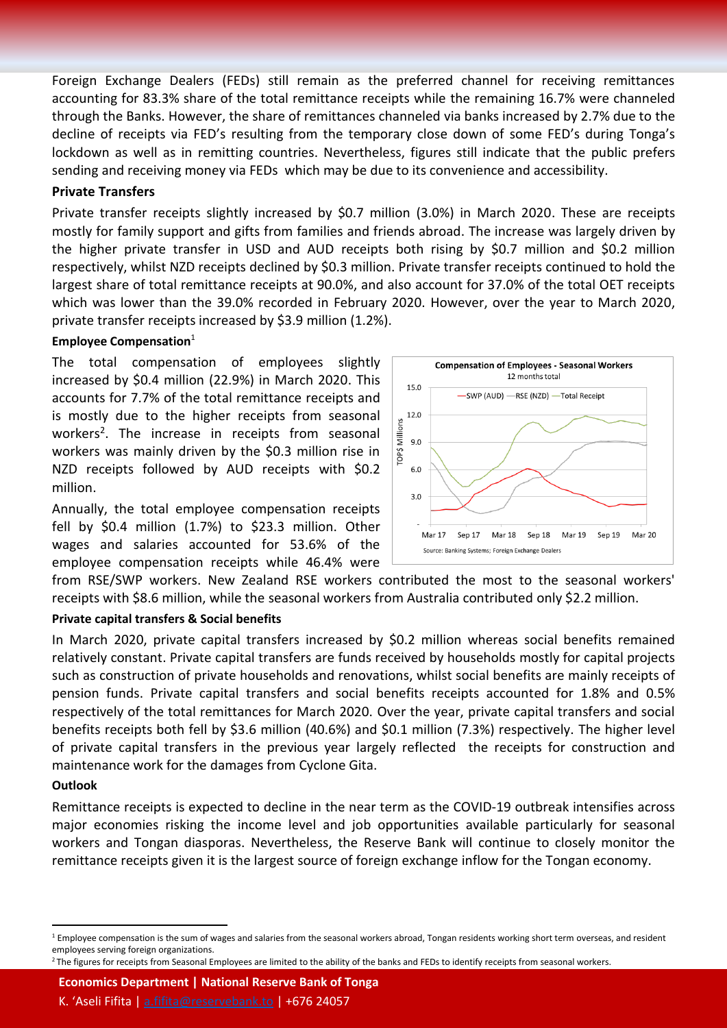Foreign Exchange Dealers (FEDs) still remain as the preferred channel for receiving remittances accounting for 83.3% share of the total remittance receipts while the remaining 16.7% were channeled through the Banks. However, the share of remittances channeled via banks increased by 2.7% due to the decline of receipts via FED's resulting from the temporary close down of some FED's during Tonga's lockdown as well as in remitting countries. Nevertheless, figures still indicate that the public prefers sending and receiving money via FEDs which may be due to its convenience and accessibility.

#### **Private Transfers**

Private transfer receipts slightly increased by \$0.7 million (3.0%) in March 2020. These are receipts mostly for family support and gifts from families and friends abroad. The increase was largely driven by the higher private transfer in USD and AUD receipts both rising by \$0.7 million and \$0.2 million respectively, whilst NZD receipts declined by \$0.3 million. Private transfer receipts continued to hold the largest share of total remittance receipts at 90.0%, and also account for 37.0% of the total OET receipts which was lower than the 39.0% recorded in February 2020. However, over the year to March 2020, private transfer receipts increased by \$3.9 million (1.2%).

#### **Employee Compensation**<sup>1</sup>

The total compensation of employees slightly increased by \$0.4 million (22.9%) in March 2020. This accounts for 7.7% of the total remittance receipts and is mostly due to the higher receipts from seasonal workers<sup>2</sup>. The increase in receipts from seasonal workers was mainly driven by the \$0.3 million rise in NZD receipts followed by AUD receipts with \$0.2 million.

Annually, the total employee compensation receipts fell by \$0.4 million (1.7%) to \$23.3 million. Other wages and salaries accounted for 53.6% of the employee compensation receipts while 46.4% were



from RSE/SWP workers. New Zealand RSE workers contributed the most to the seasonal workers' receipts with \$8.6 million, while the seasonal workers from Australia contributed only \$2.2 million.

#### **Private capital transfers & Social benefits**

In March 2020, private capital transfers increased by \$0.2 million whereas social benefits remained relatively constant. Private capital transfers are funds received by households mostly for capital projects such as construction of private households and renovations, whilst social benefits are mainly receipts of pension funds. Private capital transfers and social benefits receipts accounted for 1.8% and 0.5% respectively of the total remittances for March 2020. Over the year, private capital transfers and social benefits receipts both fell by \$3.6 million (40.6%) and \$0.1 million (7.3%) respectively. The higher level of private capital transfers in the previous year largely reflected the receipts for construction and maintenance work for the damages from Cyclone Gita.

#### **Outlook**

 $\ddot{\phantom{a}}$ 

Remittance receipts is expected to decline in the near term as the COVID-19 outbreak intensifies across major economies risking the income level and job opportunities available particularly for seasonal workers and Tongan diasporas. Nevertheless, the Reserve Bank will continue to closely monitor the remittance receipts given it is the largest source of foreign exchange inflow for the Tongan economy.

**Economics Department | National Reserve Bank of Tonga**

 $1$  Employee compensation is the sum of wages and salaries from the seasonal workers abroad, Tongan residents working short term overseas, and resident employees serving foreign organizations.

<sup>&</sup>lt;sup>2</sup> The figures for receipts from Seasonal Employees are limited to the ability of the banks and FEDs to identify receipts from seasonal workers.

K. 'Aseli Fifita | [a.fifita@reservebank.to](mailto:a.fifita@reservebank.to) | +676 24057